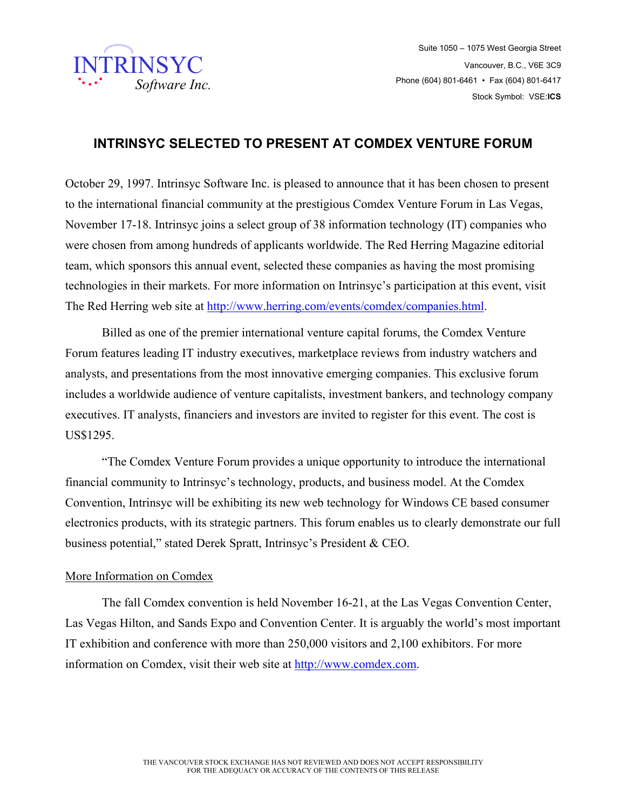

## **INTRINSYC SELECTED TO PRESENT AT COMDEX VENTURE FORUM**

October 29, 1997. Intrinsyc Software Inc. is pleased to announce that it has been chosen to present to the international financial community at the prestigious Comdex Venture Forum in Las Vegas, November 17-18. Intrinsyc joins a select group of 38 information technology (IT) companies who were chosen from among hundreds of applicants worldwide. The Red Herring Magazine editorial team, which sponsors this annual event, selected these companies as having the most promising technologies in their markets. For more information on Intrinsyc's participation at this event, visit The Red Herring web site at http://www.herring.com/events/comdex/companies.html.

Billed as one of the premier international venture capital forums, the Comdex Venture Forum features leading IT industry executives, marketplace reviews from industry watchers and analysts, and presentations from the most innovative emerging companies. This exclusive forum includes a worldwide audience of venture capitalists, investment bankers, and technology company executives. IT analysts, financiers and investors are invited to register for this event. The cost is US\$1295.

"The Comdex Venture Forum provides a unique opportunity to introduce the international financial community to Intrinsyc's technology, products, and business model. At the Comdex Convention, Intrinsyc will be exhibiting its new web technology for Windows CE based consumer electronics products, with its strategic partners. This forum enables us to clearly demonstrate our full business potential," stated Derek Spratt, Intrinsyc's President & CEO.

## More Information on Comdex

The fall Comdex convention is held November 16-21, at the Las Vegas Convention Center, Las Vegas Hilton, and Sands Expo and Convention Center. It is arguably the world's most important IT exhibition and conference with more than 250,000 visitors and 2,100 exhibitors. For more information on Comdex, visit their web site at http://www.comdex.com.